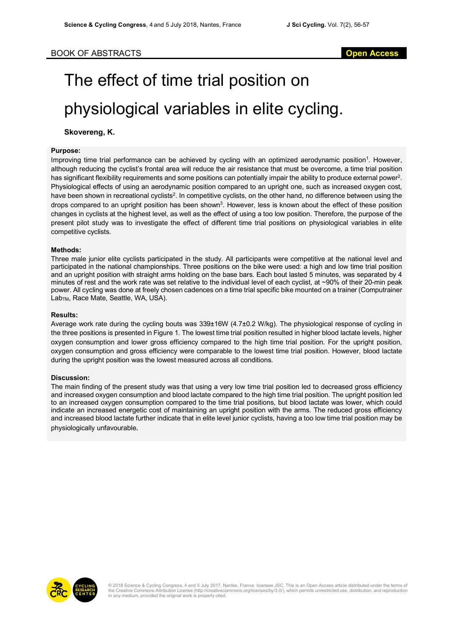# The effect of time trial position on physiological variables in elite cycling.

# **Skovereng, K.**

## **Purpose:**

Improving time trial performance can be achieved by cycling with an optimized aerodynamic position<sup>1</sup>. However, although reducing the cyclist's frontal area will reduce the air resistance that must be overcome, a time trial position has significant flexibility requirements and some positions can potentially impair the ability to produce external power<sup>2</sup>. Physiological effects of using an aerodynamic position compared to an upright one, such as increased oxygen cost, have been shown in recreational cyclists<sup>2</sup>. In competitive cyclists, on the other hand, no difference between using the drops compared to an upright position has been shown<sup>3</sup>. However, less is known about the effect of these position changes in cyclists at the highest level, as well as the effect of using a too low position. Therefore, the purpose of the present pilot study was to investigate the effect of different time trial positions on physiological variables in elite competitive cyclists.

## **Methods:**

Three male junior elite cyclists participated in the study. All participants were competitive at the national level and participated in the national championships. Three positions on the bike were used: a high and low time trial position and an upright position with straight arms holding on the base bars. Each bout lasted 5 minutes, was separated by 4 minutes of rest and the work rate was set relative to the individual level of each cyclist, at ~90% of their 20-min peak power. All cycling was done at freely chosen cadences on a time trial specific bike mounted on a trainer (Computrainer Lab<sub>TM</sub>, Race Mate, Seattle, WA, USA).

#### **Results:**

Average work rate during the cycling bouts was 339±16W (4.7±0.2 W/kg). The physiological response of cycling in the three positions is presented in Figure 1. The lowest time trial position resulted in higher blood lactate levels, higher oxygen consumption and lower gross efficiency compared to the high time trial position. For the upright position, oxygen consumption and gross efficiency were comparable to the lowest time trial position. However, blood lactate during the upright position was the lowest measured across all conditions.

## **Discussion:**

The main finding of the present study was that using a very low time trial position led to decreased gross efficiency and increased oxygen consumption and blood lactate compared to the high time trial position. The upright position led to an increased oxygen consumption compared to the time trial positions, but blood lactate was lower, which could indicate an increased energetic cost of maintaining an upright position with the arms. The reduced gross efficiency and increased blood lactate further indicate that in elite level junior cyclists, having a too low time trial position may be physiologically unfavourable.



© 2018 Science & Cycling Congress, 4 and 5 July 2017, Nantes, France. licensee JSC. This is an Open Access article distributed under the terms of<br>the Creative Commons Attribution License (http://creativecommons.org/license in any medium, provided the original work is properly cited.